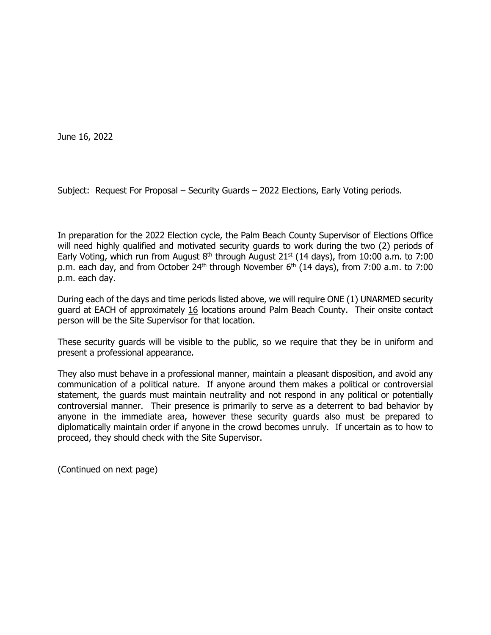June 16, 2022

Subject: Request For Proposal – Security Guards – 2022 Elections, Early Voting periods.

In preparation for the 2022 Election cycle, the Palm Beach County Supervisor of Elections Office will need highly qualified and motivated security guards to work during the two (2) periods of Early Voting, which run from August  $8<sup>th</sup>$  through August 21<sup>st</sup> (14 days), from 10:00 a.m. to 7:00 p.m. each day, and from October  $24<sup>th</sup>$  through November  $6<sup>th</sup>$  (14 days), from 7:00 a.m. to 7:00 p.m. each day.

During each of the days and time periods listed above, we will require ONE (1) UNARMED security guard at EACH of approximately 16 locations around Palm Beach County. Their onsite contact person will be the Site Supervisor for that location.

These security guards will be visible to the public, so we require that they be in uniform and present a professional appearance.

They also must behave in a professional manner, maintain a pleasant disposition, and avoid any communication of a political nature. If anyone around them makes a political or controversial statement, the guards must maintain neutrality and not respond in any political or potentially controversial manner. Their presence is primarily to serve as a deterrent to bad behavior by anyone in the immediate area, however these security guards also must be prepared to diplomatically maintain order if anyone in the crowd becomes unruly. If uncertain as to how to proceed, they should check with the Site Supervisor.

(Continued on next page)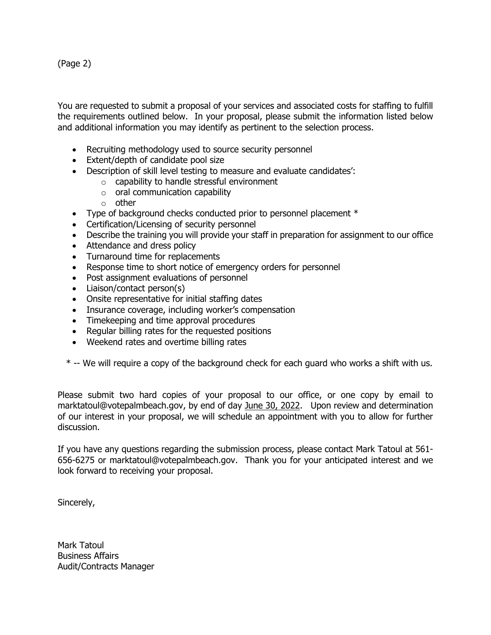(Page 2)

You are requested to submit a proposal of your services and associated costs for staffing to fulfill the requirements outlined below. In your proposal, please submit the information listed below and additional information you may identify as pertinent to the selection process.

- Recruiting methodology used to source security personnel
- Extent/depth of candidate pool size
- Description of skill level testing to measure and evaluate candidates':
	- o capability to handle stressful environment
		- $\circ$  oral communication capability
		- o other
- Type of background checks conducted prior to personnel placement  $*$
- Certification/Licensing of security personnel
- Describe the training you will provide your staff in preparation for assignment to our office
- Attendance and dress policy
- Turnaround time for replacements
- Response time to short notice of emergency orders for personnel
- Post assignment evaluations of personnel
- Liaison/contact person(s)
- Onsite representative for initial staffing dates
- Insurance coverage, including worker's compensation
- Timekeeping and time approval procedures
- Regular billing rates for the requested positions
- Weekend rates and overtime billing rates

\* -- We will require a copy of the background check for each guard who works a shift with us.

Please submit two hard copies of your proposal to our office, or one copy by email to marktatoul@votepalmbeach.gov, by end of day June 30, 2022. Upon review and determination of our interest in your proposal, we will schedule an appointment with you to allow for further discussion.

If you have any questions regarding the submission process, please contact Mark Tatoul at 561- 656-6275 or marktatoul@votepalmbeach.gov. Thank you for your anticipated interest and we look forward to receiving your proposal.

Sincerely,

Mark Tatoul Business Affairs Audit/Contracts Manager